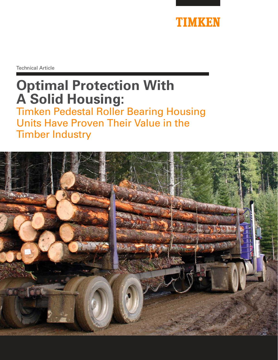

Technical Article

# **Optimal Protection With A Solid Housing:**

Timken Pedestal Roller Bearing Housing Units Have Proven Their Value in the Timber Industry

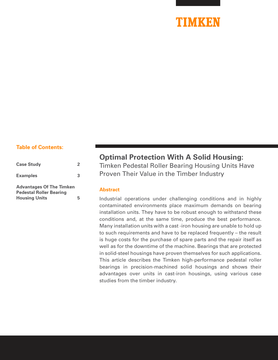

#### **Table of Contents:**

| <b>Case Study</b>                                                 | $\mathfrak{D}$ |
|-------------------------------------------------------------------|----------------|
| <b>Examples</b>                                                   | 3              |
| <b>Advantages Of The Timken</b><br><b>Pedestal Roller Bearing</b> |                |
| <b>Housing Units</b>                                              | 5              |

### **Optimal Protection With A Solid Housing:**

Timken Pedestal Roller Bearing Housing Units Have Proven Their Value in the Timber Industry

#### **Abstract**

Industrial operations under challenging conditions and in highly contaminated environments place maximum demands on bearing installation units. They have to be robust enough to withstand these conditions and, at the same time, produce the best performance. Many installation units with a cast -iron housing are unable to hold up to such requirements and have to be replaced frequently – the result is huge costs for the purchase of spare parts and the repair itself as well as for the downtime of the machine. Bearings that are protected in solid-steel housings have proven themselves for such applications. This article describes the Timken high-performance pedestal roller bearings in precision-machined solid housings and shows their advantages over units in cast-iron housings, using various case studies from the timber industry.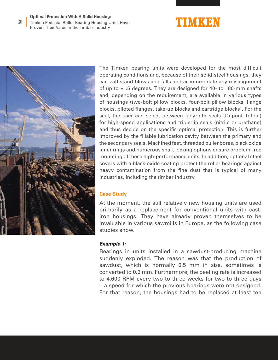#### **Optimal Protection With A Solid Housing:**

Timken Pedestal Roller Bearing Housing Units Have Proven Their Value in the Timber Industry **2**





The Timken bearing units were developed for the most difficult operating conditions and, because of their solid-steel housings, they can withstand blows and falls and accommodate any misalignment of up to ±1.5 degrees. They are designed for 40- to 180-mm shafts and, depending on the requirement, are available in various types of housings (two-bolt pillow blocks, four-bolt pillow blocks, flange blocks, piloted flanges, take-up blocks and cartridge blocks). For the seal, the user can select between labyrinth seals (Dupont Teflon) for high-speed applications and triple-lip seals (nitrile or urethane) and thus decide on the specific optimal protection. This is further improved by the fillable lubrication cavity between the primary and the secondary seals. Machined feet, threaded puller bores, black oxide inner rings and numerous shaft locking options ensure problem-free mounting of these high-performance units. In addition, optional steel covers with a black-oxide coating protect the roller bearings against heavy contamination from the fine dust that is typical of many industries, including the timber industry.

#### **Case Study**

At the moment, the still relatively new housing units are used primarily as a replacement for conventional units with castiron housings. They have already proven themselves to be invaluable in various sawmills in Europe, as the following case studies show.

#### **Example 1:**

Bearings in units installed in a sawdust-producing machine suddenly exploded. The reason was that the production of sawdust, which is normally 0.5 mm in size, sometimes is converted to 0.3 mm. Furthermore, the peeling rate is increased to 4,600 RPM every two to three weeks for two to three days – a speed for which the previous bearings were not designed. For that reason, the housings had to be replaced at least ten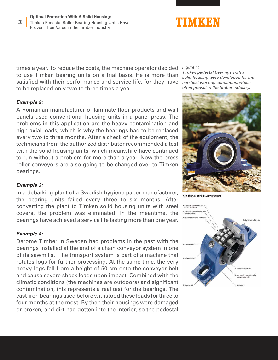

times a year. To reduce the costs, the machine operator decided *Figure 1:* to use Timken bearing units on a trial basis. He is more than satisfied with their performance and service life, for they have to be replaced only two to three times a year.

#### **Example 2:**

A Romanian manufacturer of laminate floor products and wall panels used conventional housing units in a panel press. The problems in this application are the heavy contamination and high axial loads, which is why the bearings had to be replaced every two to three months. After a check of the equipment, the technicians from the authorized distributor recommended a test with the solid housing units, which meanwhile have continued to run without a problem for more than a year. Now the press roller conveyors are also going to be changed over to Timken bearings.

#### **Example 3:**

In a debarking plant of a Swedish hygiene paper manufacturer, the bearing units failed every three to six months. After converting the plant to Timken solid housing units with steel covers, the problem was eliminated. In the meantime, the bearings have achieved a service life lasting more than one year.

#### **Example 4:**

Derome Timber in Sweden had problems in the past with the bearings installed at the end of a chain conveyor system in one of its sawmills. The transport system is part of a machine that rotates logs for further processing. At the same time, the very heavy logs fall from a height of 50 cm onto the conveyor belt and cause severe shock loads upon impact. Combined with the climatic conditions (the machines are outdoors) and significant contamination, this represents a real test for the bearings. The cast-iron bearings used before withstood these loads for three to four months at the most. By then their housings were damaged or broken, and dirt had gotten into the interior, so the pedestal

*Timken pedestal bearings with a solid housing were developed for the harshest working conditions, which often prevail in the timber industry.* 



SRB SOLID-BLOCK RHU-KEY FEATURES

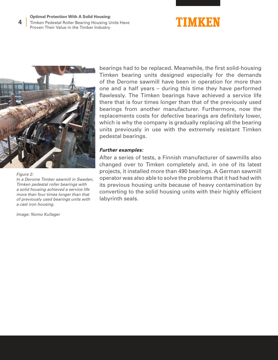#### **Optimal Protection With A Solid Housing:** Timken Pedestal Roller Bearing Housing Units Have Proven Their Value in the Timber Industry





*Figure 2:*

**4**

*In a Derome Timber sawmill in Sweden, Timken pedestal roller bearings with a solid housing achieved a service life more than four times longer than that of previously used bearings units with a cast iron housing.*

*Image: Nomo Kullager*

bearings had to be replaced. Meanwhile, the first solid-housing Timken bearing units designed especially for the demands of the Derome sawmill have been in operation for more than one and a half years – during this time they have performed flawlessly. The Timken bearings have achieved a service life there that is four times longer than that of the previously used bearings from another manufacturer. Furthermore, now the replacements costs for defective bearings are definitely lower, which is why the company is gradually replacing all the bearing units previously in use with the extremely resistant Timken pedestal bearings.

#### **Further examples:**

After a series of tests, a Finnish manufacturer of sawmills also changed over to Timken completely and, in one of its latest projects, it installed more than 490 bearings. A German sawmill operator was also able to solve the problems that it had had with its previous housing units because of heavy contamination by converting to the solid housing units with their highly efficient labyrinth seals.